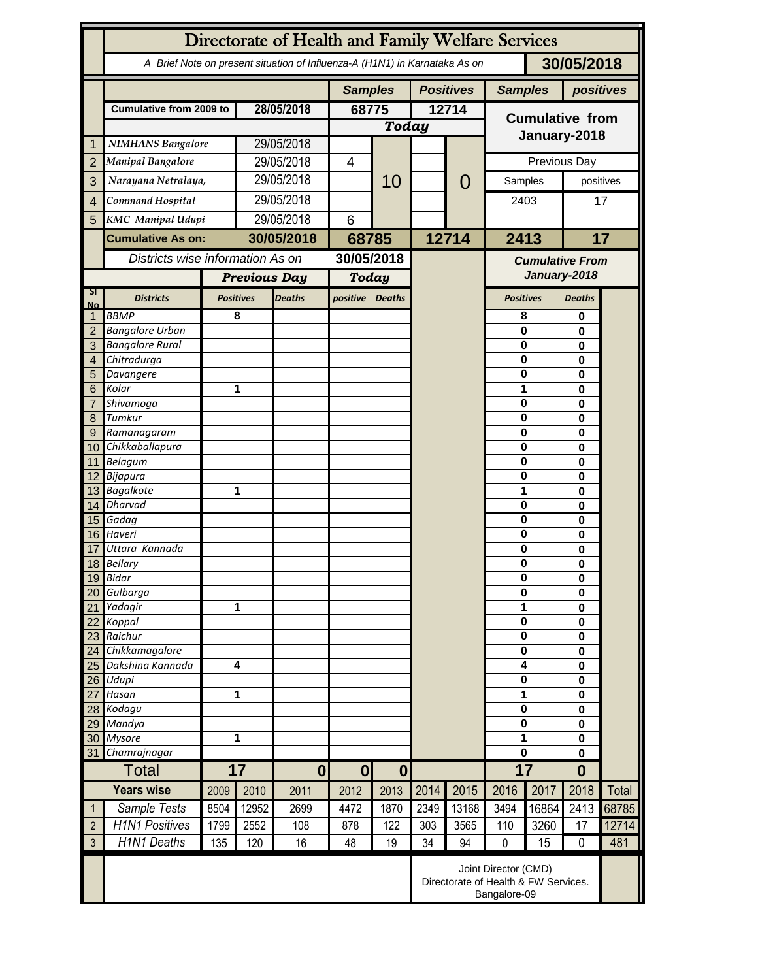|                 | Directorate of Health and Family Welfare Services                                        |                                                                              |                     |                  |                      |               |                  |                                        |                        |                                   |                      |             |  |
|-----------------|------------------------------------------------------------------------------------------|------------------------------------------------------------------------------|---------------------|------------------|----------------------|---------------|------------------|----------------------------------------|------------------------|-----------------------------------|----------------------|-------------|--|
|                 | 30/05/2018<br>A Brief Note on present situation of Influenza-A (H1N1) in Karnataka As on |                                                                              |                     |                  |                      |               |                  |                                        |                        |                                   |                      |             |  |
|                 |                                                                                          |                                                                              |                     | <b>Samples</b>   |                      |               | <b>Positives</b> |                                        | <b>Samples</b>         | positives                         |                      |             |  |
|                 | <b>Cumulative from 2009 to</b>                                                           |                                                                              | 28/05/2018          |                  | 68775                |               | 12714            |                                        | <b>Cumulative from</b> |                                   |                      |             |  |
|                 |                                                                                          |                                                                              |                     |                  |                      | <b>Today</b>  |                  |                                        |                        |                                   |                      |             |  |
|                 | <b>NIMHANS Bangalore</b>                                                                 |                                                                              | 29/05/2018          |                  |                      |               |                  |                                        | January-2018           |                                   |                      |             |  |
| $\overline{2}$  | Manipal Bangalore                                                                        |                                                                              | 29/05/2018          |                  | $\overline{4}$       |               |                  |                                        | Previous Day           |                                   |                      |             |  |
| 3               | Narayana Netralaya,                                                                      |                                                                              |                     | 29/05/2018       |                      | 10            |                  | $\mathcal{O}$                          | Samples                |                                   | positives            |             |  |
|                 | Command Hospital                                                                         |                                                                              | 29/05/2018          |                  |                      |               |                  |                                        |                        |                                   | 17                   |             |  |
| $\overline{4}$  | <b>KMC</b> Manipal Udupi                                                                 |                                                                              | 29/05/2018          |                  |                      |               |                  |                                        | 2403                   |                                   |                      |             |  |
| 5               | <b>Cumulative As on:</b>                                                                 |                                                                              | 30/05/2018          |                  | 6                    |               |                  |                                        | 2413                   |                                   | 17                   |             |  |
|                 | Districts wise information As on                                                         |                                                                              |                     |                  | 68785                |               | 12714            |                                        |                        |                                   |                      |             |  |
|                 |                                                                                          |                                                                              |                     | 30/05/2018       |                      |               |                  | <b>Cumulative From</b><br>January-2018 |                        |                                   |                      |             |  |
|                 |                                                                                          |                                                                              | <b>Previous Day</b> |                  | <b>Today</b>         |               |                  |                                        |                        |                                   |                      |             |  |
| SI<br><b>No</b> | <b>Districts</b>                                                                         |                                                                              | <b>Positives</b>    | <b>Deaths</b>    | positive             | <b>Deaths</b> |                  |                                        |                        | <b>Positives</b><br><b>Deaths</b> |                      |             |  |
| $\mathbf{1}$    | <b>BBMP</b>                                                                              |                                                                              | 8                   |                  |                      |               |                  |                                        | 8                      |                                   | 0                    |             |  |
| $\overline{2}$  | <b>Bangalore Urban</b>                                                                   |                                                                              |                     |                  |                      |               |                  |                                        | $\mathbf 0$            |                                   | 0                    |             |  |
| 3               | <b>Bangalore Rural</b>                                                                   |                                                                              |                     |                  |                      |               |                  |                                        | 0                      |                                   | $\bf{0}$             |             |  |
| 4               | Chitradurga                                                                              |                                                                              |                     |                  |                      |               |                  |                                        | 0                      | 0                                 |                      |             |  |
| 5               | Davangere                                                                                |                                                                              |                     |                  |                      |               |                  |                                        | 0                      |                                   | 0                    |             |  |
| 6               | Kolar                                                                                    |                                                                              | 1                   |                  |                      |               |                  |                                        | 1                      |                                   | 0                    |             |  |
|                 | Shivamoga                                                                                |                                                                              |                     |                  |                      |               |                  |                                        | $\bf{0}$               |                                   | 0                    |             |  |
| 8               | Tumkur                                                                                   |                                                                              |                     |                  |                      |               |                  |                                        | $\mathbf 0$            | 0                                 |                      |             |  |
| 9<br>10         | Ramanagaram<br>Chikkaballapura                                                           |                                                                              |                     |                  |                      |               |                  |                                        | $\mathbf 0$<br>0       |                                   | 0<br>0               |             |  |
|                 | 11 Belagum                                                                               |                                                                              |                     |                  |                      |               |                  |                                        | $\mathbf 0$            |                                   | $\bf{0}$             |             |  |
|                 | 12 Bijapura                                                                              |                                                                              |                     |                  |                      |               |                  |                                        | $\mathbf 0$            |                                   | 0                    |             |  |
|                 | 13 Bagalkote                                                                             |                                                                              | 1                   |                  |                      |               |                  |                                        | 1                      |                                   | 0                    |             |  |
|                 | 14 Dharvad                                                                               |                                                                              |                     |                  |                      |               |                  |                                        | 0                      |                                   | 0                    |             |  |
| 15              | Gadag                                                                                    |                                                                              |                     |                  |                      |               |                  |                                        | 0                      |                                   | 0                    |             |  |
|                 | 16 Haveri                                                                                |                                                                              |                     |                  |                      |               |                  |                                        | 0                      |                                   | 0                    |             |  |
| 17              | Uttara Kannada                                                                           |                                                                              |                     |                  |                      |               |                  |                                        |                        | $\bf{0}$                          |                      | 0<br>0<br>0 |  |
| 18              | <b>Bellary</b>                                                                           |                                                                              |                     |                  |                      |               |                  |                                        |                        | $\pmb{0}$                         |                      |             |  |
|                 | 19 Bidar                                                                                 |                                                                              |                     |                  |                      |               |                  |                                        |                        | $\overline{\mathbf{0}}$           |                      |             |  |
| 20              | Gulbarga                                                                                 |                                                                              |                     |                  |                      |               |                  |                                        | $\bf{0}$<br>1          |                                   | 0<br>$\bf{0}$        |             |  |
| 21<br>22        | Yadagir                                                                                  |                                                                              | 1                   |                  |                      |               |                  |                                        |                        | $\bf{0}$                          |                      |             |  |
| 23              | Koppal<br>Raichur                                                                        |                                                                              |                     |                  |                      |               |                  |                                        | $\pmb{0}$              |                                   | $\bf{0}$<br>$\bf{0}$ |             |  |
| 24              | Chikkamagalore                                                                           |                                                                              |                     |                  |                      |               |                  |                                        | $\pmb{0}$              |                                   | $\bf{0}$             |             |  |
| 25              | Dakshina Kannada                                                                         |                                                                              | 4                   |                  |                      |               |                  |                                        | 4                      |                                   | 0                    |             |  |
| 26              | Udupi                                                                                    |                                                                              |                     |                  |                      |               |                  |                                        | 0                      |                                   | $\bf{0}$             |             |  |
| 27              | Hasan                                                                                    |                                                                              | 1                   |                  |                      |               |                  |                                        | 1                      |                                   | $\bf{0}$             |             |  |
| 28              | Kodagu                                                                                   |                                                                              |                     |                  |                      |               |                  |                                        | 0                      |                                   | $\bf{0}$             |             |  |
| 29              | Mandya                                                                                   |                                                                              |                     |                  |                      |               |                  |                                        | 0                      |                                   | $\bf{0}$             |             |  |
| 30              | <b>Mysore</b>                                                                            |                                                                              | 1                   |                  |                      |               |                  |                                        | 1                      |                                   | $\bf{0}$             |             |  |
| 31              | Chamrajnagar                                                                             |                                                                              |                     |                  |                      |               |                  |                                        | 0                      |                                   | $\bf{0}$             |             |  |
|                 | <b>Total</b>                                                                             | 17                                                                           |                     | $\boldsymbol{0}$ | $\bf{0}$<br>$\bf{0}$ |               |                  |                                        | 17                     |                                   | $\bf{0}$             |             |  |
|                 | <b>Years wise</b>                                                                        | 2009                                                                         | 2010                | 2011             | 2012                 | 2013          | 2014             | 2015                                   | 2016                   | 2017                              | 2018                 | Total       |  |
| $\mathbf{1}$    | Sample Tests                                                                             | 8504                                                                         | 12952               | 2699             | 4472                 | 1870          | 2349             | 13168                                  | 3494                   | 16864                             | 2413                 | 68785       |  |
| $\overline{2}$  | <b>H1N1 Positives</b>                                                                    | 1799                                                                         | 2552                | 108              | 878                  | 122           | 303              | 3565                                   | 110                    | 3260                              | 17                   | 12714       |  |
| $\mathfrak{Z}$  | <b>H1N1 Deaths</b>                                                                       | 135                                                                          | 120                 | 16               | 48                   | 19            | 34               | 94                                     | $\mathbf 0$            | 15                                | 0                    | 481         |  |
|                 |                                                                                          | Joint Director (CMD)<br>Directorate of Health & FW Services.<br>Bangalore-09 |                     |                  |                      |               |                  |                                        |                        |                                   |                      |             |  |